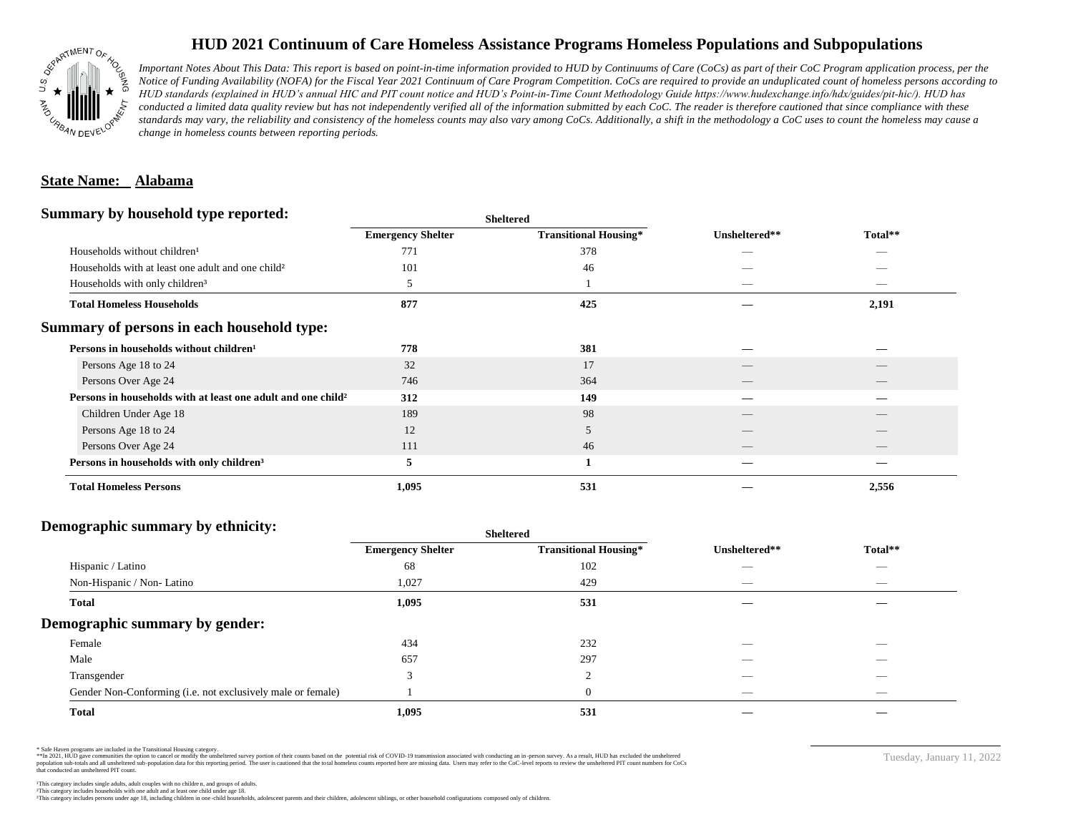

## **HUD 2021 Continuum of Care Homeless Assistance Programs Homeless Populations and Subpopulations**

*Important Notes About This Data: This report is based on point-in-time information provided to HUD by Continuums of Care (CoCs) as part of their CoC Program application process, per the Notice of Funding Availability (NOFA) for the Fiscal Year 2021 Continuum of Care Program Competition. CoCs are required to provide an unduplicated count of homeless persons according to HUD standards (explained in HUD's annual HIC and PIT count notice and HUD's Point-in-Time Count Methodology Guide https://www.hudexchange.info/hdx/guides/pit-hic/). HUD has*  conducted a limited data quality review but has not independently verified all of the information submitted by each CoC. The reader is therefore cautioned that since compliance with these standards may vary, the reliability and consistency of the homeless counts may also vary among CoCs. Additionally, a shift in the methodology a CoC uses to count the homeless may cause a *change in homeless counts between reporting periods.*

#### **State Name: Alabama**

#### **Summary by household type reported:**

| . .                                                                      |                          | энскегси                     |               |                          |  |
|--------------------------------------------------------------------------|--------------------------|------------------------------|---------------|--------------------------|--|
|                                                                          | <b>Emergency Shelter</b> | <b>Transitional Housing*</b> | Unsheltered** | Total**                  |  |
| Households without children <sup>1</sup>                                 | 771                      | 378                          | --            | _                        |  |
| Households with at least one adult and one child <sup>2</sup>            | 101                      | 46                           |               |                          |  |
| Households with only children <sup>3</sup>                               | 5                        |                              | _             | _                        |  |
| <b>Total Homeless Households</b>                                         | 877                      | 425                          |               | 2,191                    |  |
| Summary of persons in each household type:                               |                          |                              |               |                          |  |
| Persons in households without children <sup>1</sup>                      | 778                      | 381                          |               |                          |  |
| Persons Age 18 to 24                                                     | 32                       | 17                           |               |                          |  |
| Persons Over Age 24                                                      | 746                      | 364                          |               |                          |  |
| Persons in households with at least one adult and one child <sup>2</sup> | 312                      | 149                          |               |                          |  |
| Children Under Age 18                                                    | 189                      | 98                           |               |                          |  |
| Persons Age 18 to 24                                                     | 12                       | 5                            |               |                          |  |
| Persons Over Age 24                                                      | 111                      | 46                           |               | $\overline{\phantom{a}}$ |  |
| Persons in households with only children <sup>3</sup>                    | 5                        |                              |               |                          |  |
| <b>Total Homeless Persons</b>                                            | 1,095                    | 531                          |               | 2,556                    |  |
|                                                                          |                          |                              |               |                          |  |

**Sheltered**

### **Demographic summary by ethnicity:**

| ັ<br>. .<br>$\bullet$<br>. .<br>$\ddot{\phantom{1}}$        | Sneitered                |                              |                                 |                                |
|-------------------------------------------------------------|--------------------------|------------------------------|---------------------------------|--------------------------------|
|                                                             | <b>Emergency Shelter</b> | <b>Transitional Housing*</b> | Unsheltered**                   | Total**                        |
| Hispanic / Latino                                           | 68                       | 102                          | _                               | $\overbrace{\hspace{25mm}}^{}$ |
| Non-Hispanic / Non-Latino                                   | 1,027                    | 429                          | $\hspace{0.05cm}$               | $\overbrace{\hspace{25mm}}^{}$ |
| <b>Total</b>                                                | 1,095                    | 531                          |                                 |                                |
| Demographic summary by gender:                              |                          |                              |                                 |                                |
| Female                                                      | 434                      | 232                          | ___                             | $\overline{\phantom{a}}$       |
| Male                                                        | 657                      | 297                          | ___                             | $-$                            |
| Transgender                                                 | $\mathbf{r}$             | $\Omega$                     | __                              | $\sim$                         |
| Gender Non-Conforming (i.e. not exclusively male or female) |                          | $\overline{0}$               | $\hspace{0.1mm}-\hspace{0.1mm}$ | $\overbrace{\hspace{25mm}}^{}$ |
| <b>Total</b>                                                | 1,095                    | 531                          |                                 |                                |

**Sheltered**

\* Safe Haven programs are included in the Transitional Housing category.

\*\*In 2021, HUD gave communities the option to cancel or modify the unsheltered survey portion of their counts based on the potential risk of COVID-19 transmission associated with conducting an in-person survey. As a result n political data for this reporting period. The user is cautioned that the total homeless counts reported here are missing data. Users may refer to the CoC-level reports to review the unshellered PIT count numbers for CoCs that conducted an unsheltered PIT count.

Tuesday, January 11, 2022